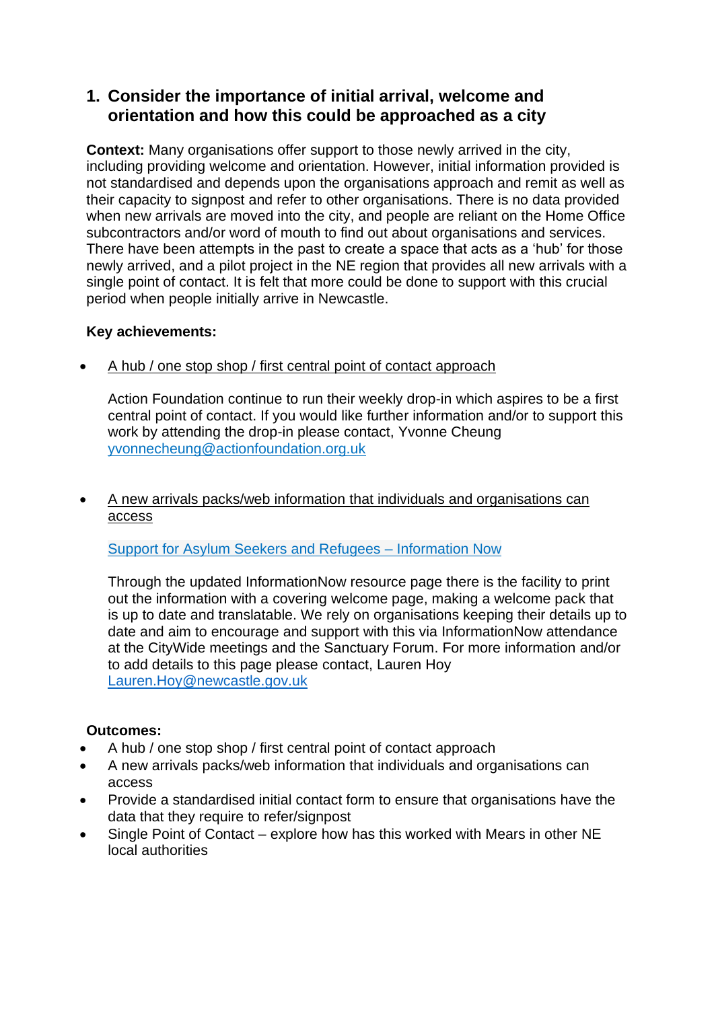# **1. Consider the importance of initial arrival, welcome and orientation and how this could be approached as a city**

**Context:** Many organisations offer support to those newly arrived in the city, including providing welcome and orientation. However, initial information provided is not standardised and depends upon the organisations approach and remit as well as their capacity to signpost and refer to other organisations. There is no data provided when new arrivals are moved into the city, and people are reliant on the Home Office subcontractors and/or word of mouth to find out about organisations and services. There have been attempts in the past to create a space that acts as a 'hub' for those newly arrived, and a pilot project in the NE region that provides all new arrivals with a single point of contact. It is felt that more could be done to support with this crucial period when people initially arrive in Newcastle.

## **Key achievements:**

• A hub / one stop shop / first central point of contact approach

Action Foundation continue to run their weekly drop-in which aspires to be a first central point of contact. If you would like further information and/or to support this work by attending the drop-in please contact, Yvonne Cheung [yvonnecheung@actionfoundation.org.uk](mailto:yvonnecheung@actionfoundation.org.uk)

• A new arrivals packs/web information that individuals and organisations can access

[Support for Asylum Seekers and Refugees –](https://www.informationnow.org.uk/article/support-for-asylum-seekers-and-refugees/) Information Now

Through the updated InformationNow resource page there is the facility to print out the information with a covering welcome page, making a welcome pack that is up to date and translatable. We rely on organisations keeping their details up to date and aim to encourage and support with this via InformationNow attendance at the CityWide meetings and the Sanctuary Forum. For more information and/or to add details to this page please contact, Lauren Hoy [Lauren.Hoy@newcastle.gov.uk](mailto:Lauren.Hoy@newcastle.gov.uk)

## **Outcomes:**

- A hub / one stop shop / first central point of contact approach
- A new arrivals packs/web information that individuals and organisations can access
- Provide a standardised initial contact form to ensure that organisations have the data that they require to refer/signpost
- Single Point of Contact explore how has this worked with Mears in other NE local authorities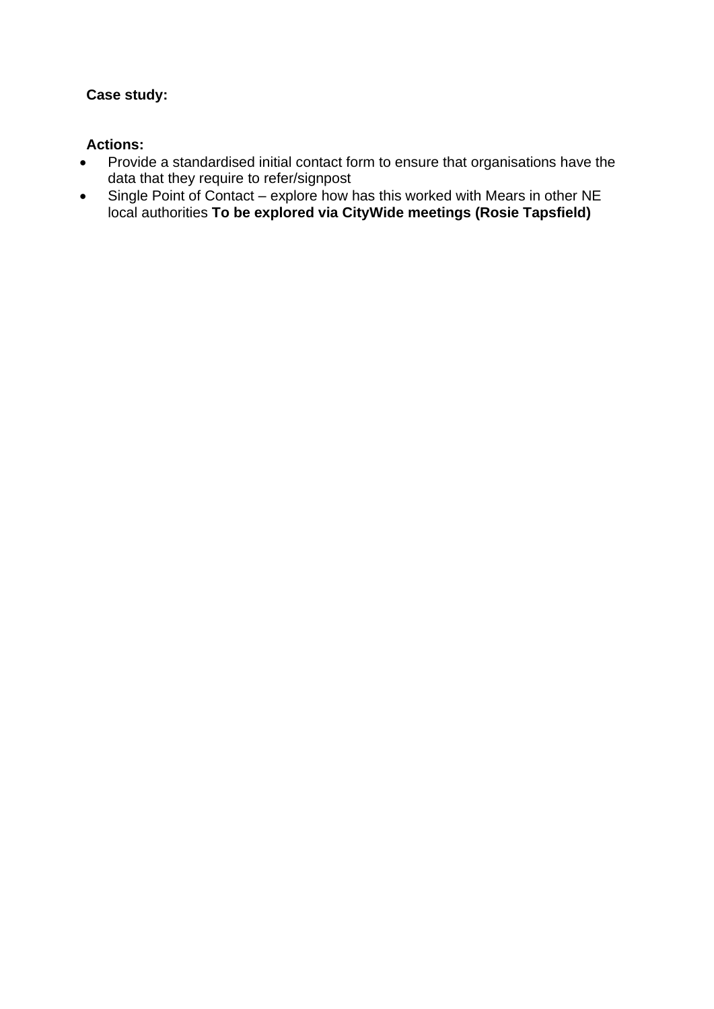## **Case study:**

- Provide a standardised initial contact form to ensure that organisations have the data that they require to refer/signpost
- Single Point of Contact explore how has this worked with Mears in other NE local authorities **To be explored via CityWide meetings (Rosie Tapsfield)**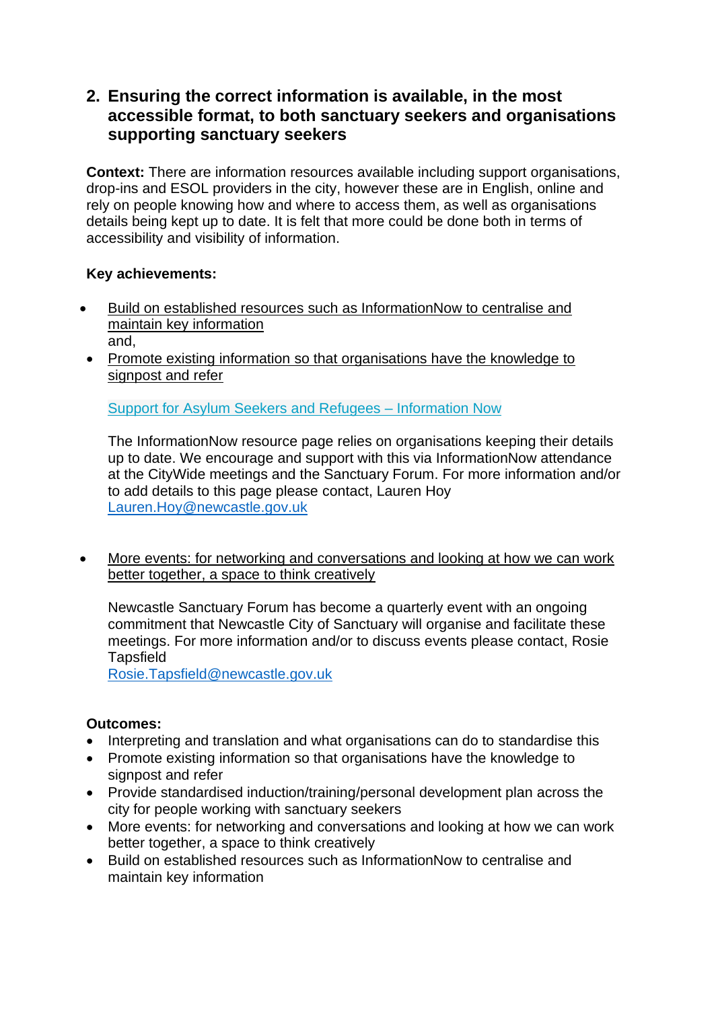# **2. Ensuring the correct information is available, in the most accessible format, to both sanctuary seekers and organisations supporting sanctuary seekers**

**Context:** There are information resources available including support organisations, drop-ins and ESOL providers in the city, however these are in English, online and rely on people knowing how and where to access them, as well as organisations details being kept up to date. It is felt that more could be done both in terms of accessibility and visibility of information.

#### **Key achievements:**

- Build on established resources such as InformationNow to centralise and maintain key information and,
- Promote existing information so that organisations have the knowledge to signpost and refer

[Support for Asylum Seekers and Refugees –](https://www.informationnow.org.uk/article/support-for-asylum-seekers-and-refugees/) Information Now

The InformationNow resource page relies on organisations keeping their details up to date. We encourage and support with this via InformationNow attendance at the CityWide meetings and the Sanctuary Forum. For more information and/or to add details to this page please contact, Lauren Hoy [Lauren.Hoy@newcastle.gov.uk](mailto:Lauren.Hoy@newcastle.gov.uk)

• More events: for networking and conversations and looking at how we can work better together, a space to think creatively

Newcastle Sanctuary Forum has become a quarterly event with an ongoing commitment that Newcastle City of Sanctuary will organise and facilitate these meetings. For more information and/or to discuss events please contact, Rosie **Tapsfield** 

[Rosie.Tapsfield@newcastle.gov.uk](mailto:Rosie.Tapsfield@newcastle.gov.uk)

## **Outcomes:**

- Interpreting and translation and what organisations can do to standardise this
- Promote existing information so that organisations have the knowledge to signpost and refer
- Provide standardised induction/training/personal development plan across the city for people working with sanctuary seekers
- More events: for networking and conversations and looking at how we can work better together, a space to think creatively
- Build on established resources such as InformationNow to centralise and maintain key information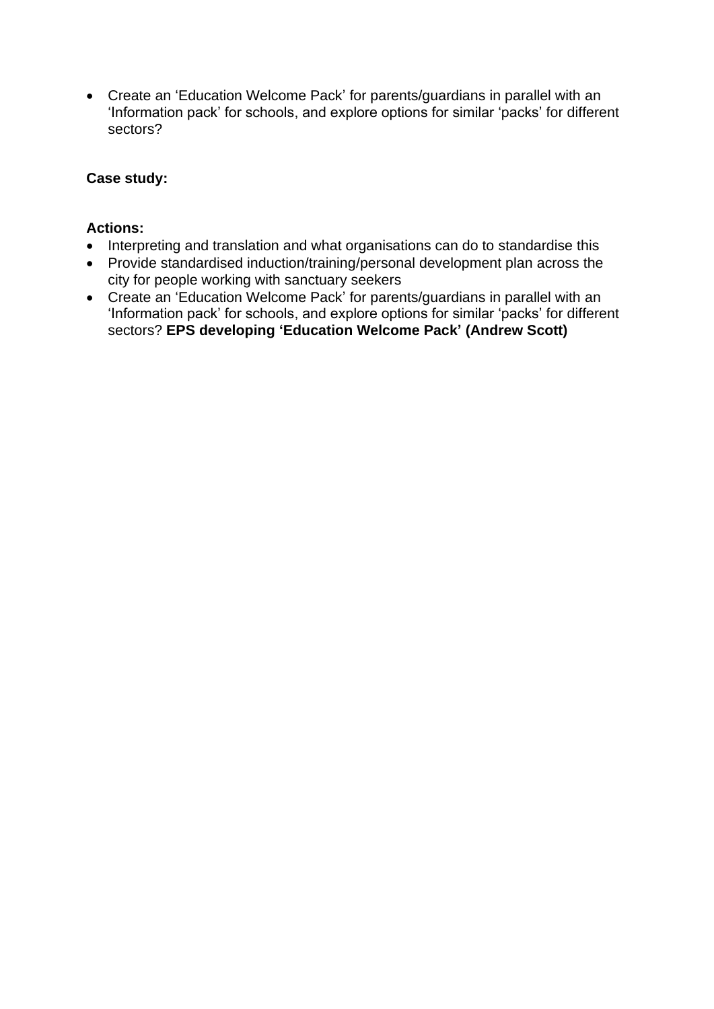• Create an 'Education Welcome Pack' for parents/guardians in parallel with an 'Information pack' for schools, and explore options for similar 'packs' for different sectors?

## **Case study:**

- Interpreting and translation and what organisations can do to standardise this
- Provide standardised induction/training/personal development plan across the city for people working with sanctuary seekers
- Create an 'Education Welcome Pack' for parents/guardians in parallel with an 'Information pack' for schools, and explore options for similar 'packs' for different sectors? **EPS developing 'Education Welcome Pack' (Andrew Scott)**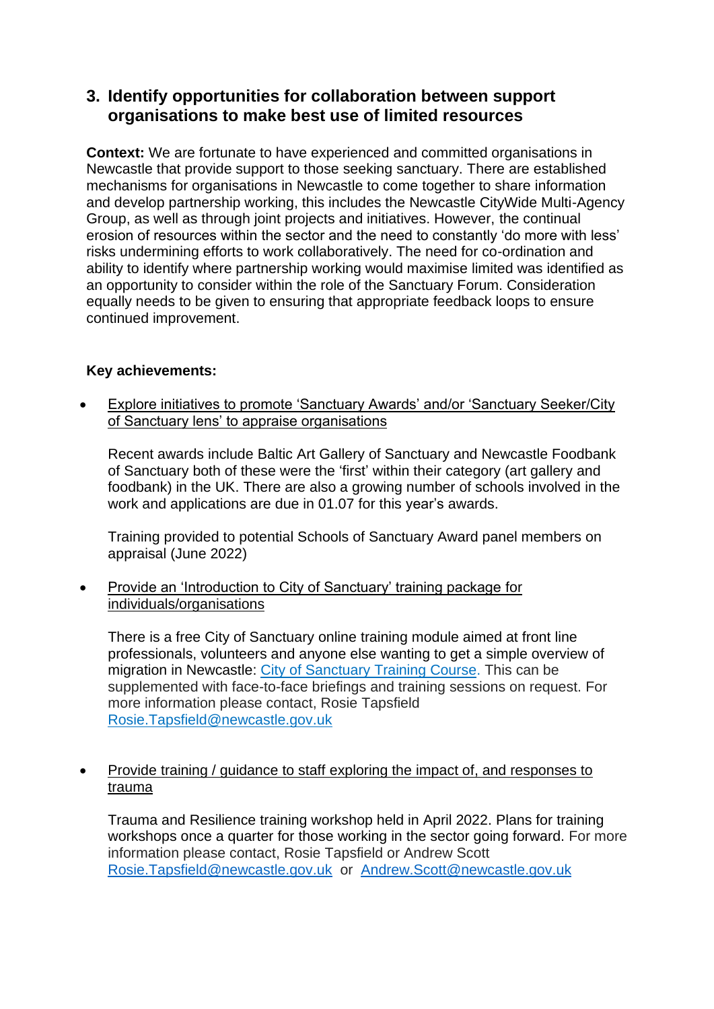# **3. Identify opportunities for collaboration between support organisations to make best use of limited resources**

**Context:** We are fortunate to have experienced and committed organisations in Newcastle that provide support to those seeking sanctuary. There are established mechanisms for organisations in Newcastle to come together to share information and develop partnership working, this includes the Newcastle CityWide Multi-Agency Group, as well as through joint projects and initiatives. However, the continual erosion of resources within the sector and the need to constantly 'do more with less' risks undermining efforts to work collaboratively. The need for co-ordination and ability to identify where partnership working would maximise limited was identified as an opportunity to consider within the role of the Sanctuary Forum. Consideration equally needs to be given to ensuring that appropriate feedback loops to ensure continued improvement.

## **Key achievements:**

• Explore initiatives to promote 'Sanctuary Awards' and/or 'Sanctuary Seeker/City of Sanctuary lens' to appraise organisations

Recent awards include Baltic Art Gallery of Sanctuary and Newcastle Foodbank of Sanctuary both of these were the 'first' within their category (art gallery and foodbank) in the UK. There are also a growing number of schools involved in the work and applications are due in 01.07 for this year's awards.

Training provided to potential Schools of Sanctuary Award panel members on appraisal (June 2022)

• Provide an 'Introduction to City of Sanctuary' training package for individuals/organisations

There is a free City of Sanctuary online training module aimed at front line professionals, volunteers and anyone else wanting to get a simple overview of migration in Newcastle: [City of Sanctuary Training Course.](https://newcastle.learningpool.com/login/index.php) This can be supplemented with face-to-face briefings and training sessions on request. For more information please contact, Rosie Tapsfield [Rosie.Tapsfield@newcastle.gov.uk](mailto:Rosie.Tapsfield@newcastle.gov.uk)

• Provide training / guidance to staff exploring the impact of, and responses to trauma

Trauma and Resilience training workshop held in April 2022. Plans for training workshops once a quarter for those working in the sector going forward. For more information please contact, Rosie Tapsfield or Andrew Scott [Rosie.Tapsfield@newcastle.gov.uk](mailto:Rosie.Tapsfield@newcastle.gov.uk) or [Andrew.Scott@newcastle.gov.uk](mailto:Andrew.Scott@newcastle.gov.uk)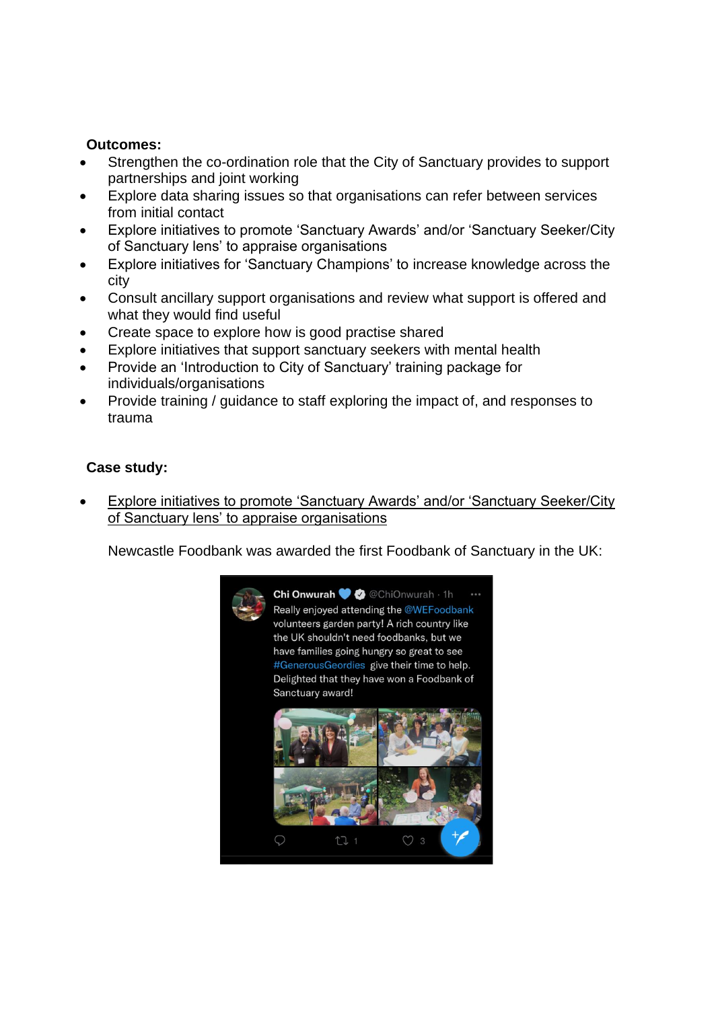#### **Outcomes:**

- Strengthen the co-ordination role that the City of Sanctuary provides to support partnerships and joint working
- Explore data sharing issues so that organisations can refer between services from initial contact
- Explore initiatives to promote 'Sanctuary Awards' and/or 'Sanctuary Seeker/City of Sanctuary lens' to appraise organisations
- Explore initiatives for 'Sanctuary Champions' to increase knowledge across the city
- Consult ancillary support organisations and review what support is offered and what they would find useful
- Create space to explore how is good practise shared
- Explore initiatives that support sanctuary seekers with mental health
- Provide an 'Introduction to City of Sanctuary' training package for individuals/organisations
- Provide training / guidance to staff exploring the impact of, and responses to trauma

## **Case study:**

**Explore initiatives to promote 'Sanctuary Awards' and/or 'Sanctuary Seeker/City** of Sanctuary lens' to appraise organisations

Newcastle Foodbank was awarded the first Foodbank of Sanctuary in the UK:

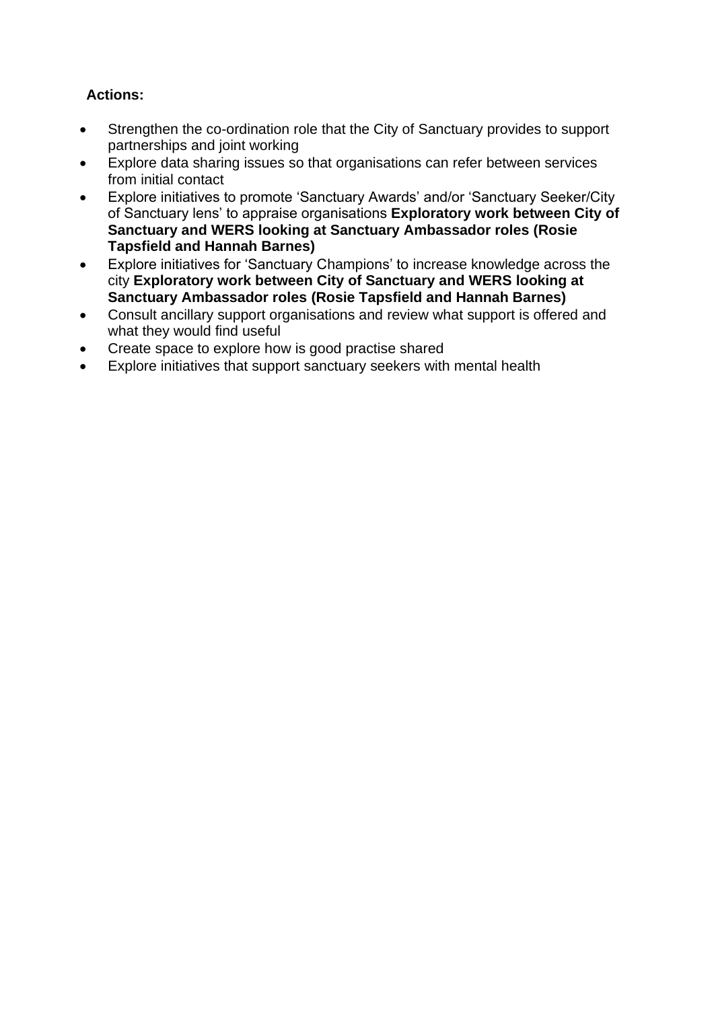- Strengthen the co-ordination role that the City of Sanctuary provides to support partnerships and joint working
- Explore data sharing issues so that organisations can refer between services from initial contact
- Explore initiatives to promote 'Sanctuary Awards' and/or 'Sanctuary Seeker/City of Sanctuary lens' to appraise organisations **Exploratory work between City of Sanctuary and WERS looking at Sanctuary Ambassador roles (Rosie Tapsfield and Hannah Barnes)**
- Explore initiatives for 'Sanctuary Champions' to increase knowledge across the city **Exploratory work between City of Sanctuary and WERS looking at Sanctuary Ambassador roles (Rosie Tapsfield and Hannah Barnes)**
- Consult ancillary support organisations and review what support is offered and what they would find useful
- Create space to explore how is good practise shared
- Explore initiatives that support sanctuary seekers with mental health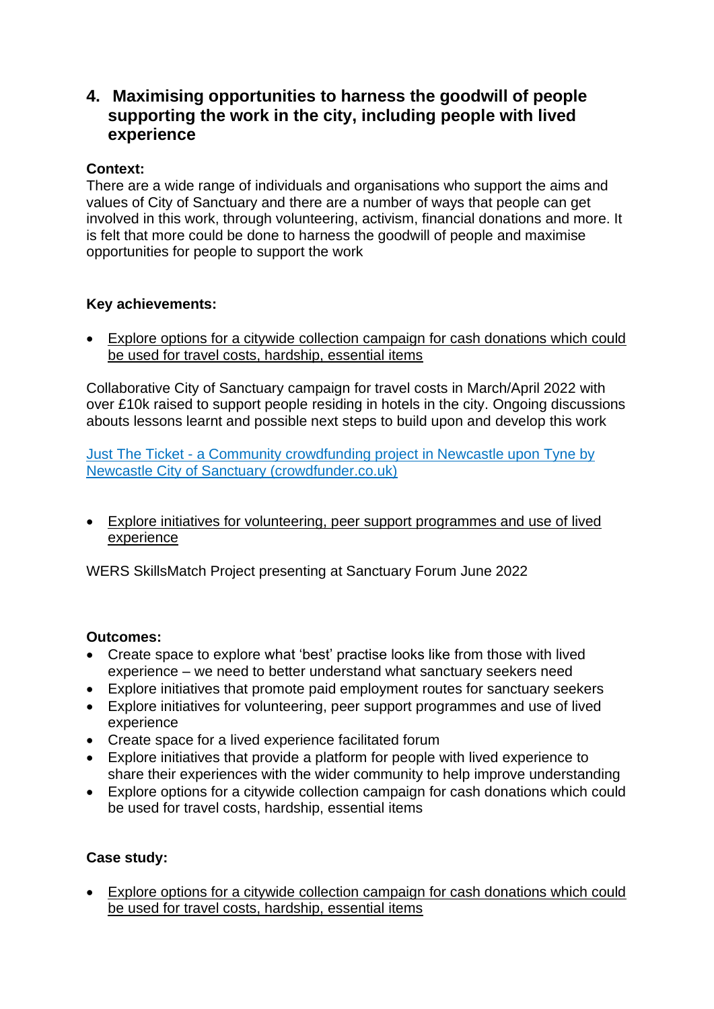# **4. Maximising opportunities to harness the goodwill of people supporting the work in the city, including people with lived experience**

## **Context:**

There are a wide range of individuals and organisations who support the aims and values of City of Sanctuary and there are a number of ways that people can get involved in this work, through volunteering, activism, financial donations and more. It is felt that more could be done to harness the goodwill of people and maximise opportunities for people to support the work

## **Key achievements:**

• Explore options for a citywide collection campaign for cash donations which could be used for travel costs, hardship, essential items

Collaborative City of Sanctuary campaign for travel costs in March/April 2022 with over £10k raised to support people residing in hotels in the city. Ongoing discussions abouts lessons learnt and possible next steps to build upon and develop this work

Just The Ticket - [a Community crowdfunding project in Newcastle upon Tyne by](https://www.crowdfunder.co.uk/p/just-the-ticket/backers#start)  [Newcastle City of Sanctuary \(crowdfunder.co.uk\)](https://www.crowdfunder.co.uk/p/just-the-ticket/backers#start)

• Explore initiatives for volunteering, peer support programmes and use of lived experience

WERS SkillsMatch Project presenting at Sanctuary Forum June 2022

## **Outcomes:**

- Create space to explore what 'best' practise looks like from those with lived experience – we need to better understand what sanctuary seekers need
- Explore initiatives that promote paid employment routes for sanctuary seekers
- Explore initiatives for volunteering, peer support programmes and use of lived experience
- Create space for a lived experience facilitated forum
- Explore initiatives that provide a platform for people with lived experience to share their experiences with the wider community to help improve understanding
- Explore options for a citywide collection campaign for cash donations which could be used for travel costs, hardship, essential items

## **Case study:**

• Explore options for a citywide collection campaign for cash donations which could be used for travel costs, hardship, essential items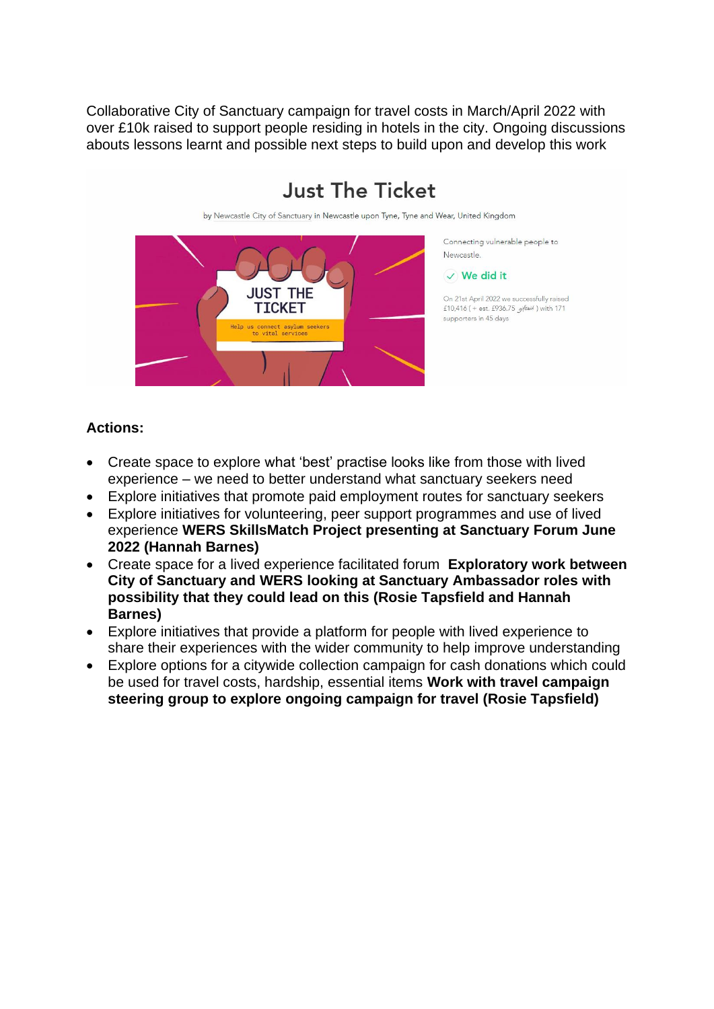Collaborative City of Sanctuary campaign for travel costs in March/April 2022 with over £10k raised to support people residing in hotels in the city. Ongoing discussions abouts lessons learnt and possible next steps to build upon and develop this work



# **Just The Ticket**

- Create space to explore what 'best' practise looks like from those with lived experience – we need to better understand what sanctuary seekers need
- Explore initiatives that promote paid employment routes for sanctuary seekers
- Explore initiatives for volunteering, peer support programmes and use of lived experience **WERS SkillsMatch Project presenting at Sanctuary Forum June 2022 (Hannah Barnes)**
- Create space for a lived experience facilitated forum **Exploratory work between City of Sanctuary and WERS looking at Sanctuary Ambassador roles with possibility that they could lead on this (Rosie Tapsfield and Hannah Barnes)**
- Explore initiatives that provide a platform for people with lived experience to share their experiences with the wider community to help improve understanding
- Explore options for a citywide collection campaign for cash donations which could be used for travel costs, hardship, essential items **Work with travel campaign steering group to explore ongoing campaign for travel (Rosie Tapsfield)**